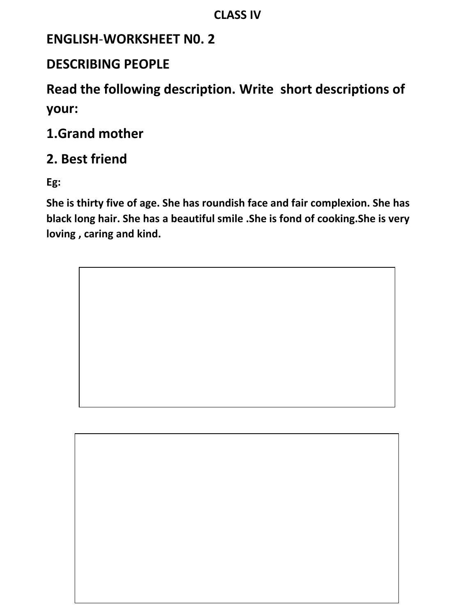### **ENGLISH**-**WORKSHEET N0. 2**

### **DESCRIBING PEOPLE**

**Read the following description. Write short descriptions of your:**

## **1.Grand mother**

## **2. Best friend**

**Eg:**

**She is thirty five of age. She has roundish face and fair complexion. She has black long hair. She has a beautiful smile .She is fond of cooking.She is very loving , caring and kind.**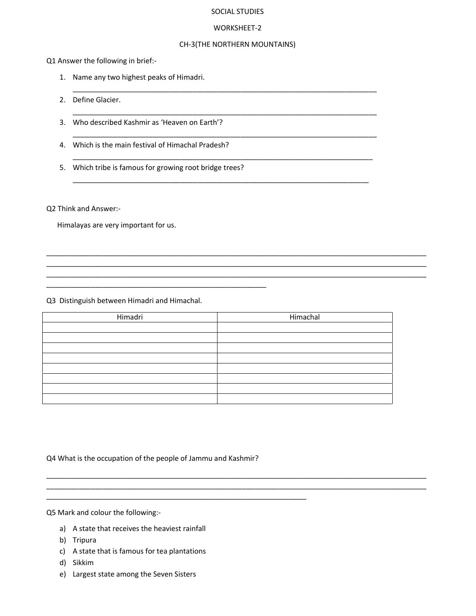#### SOCIAL STUDIES

#### WORKSHEET-2

#### CH-3(THE NORTHERN MOUNTAINS)

\_\_\_\_\_\_\_\_\_\_\_\_\_\_\_\_\_\_\_\_\_\_\_\_\_\_\_\_\_\_\_\_\_\_\_\_\_\_\_\_\_\_\_\_\_\_\_\_\_\_\_\_\_\_\_\_\_\_\_\_\_\_\_\_\_\_\_\_\_\_\_\_\_\_\_\_

\_\_\_\_\_\_\_\_\_\_\_\_\_\_\_\_\_\_\_\_\_\_\_\_\_\_\_\_\_\_\_\_\_\_\_\_\_\_\_\_\_\_\_\_\_\_\_\_\_\_\_\_\_\_\_\_\_\_\_\_\_\_\_\_\_\_\_\_\_\_\_\_\_\_\_\_

\_\_\_\_\_\_\_\_\_\_\_\_\_\_\_\_\_\_\_\_\_\_\_\_\_\_\_\_\_\_\_\_\_\_\_\_\_\_\_\_\_\_\_\_\_\_\_\_\_\_\_\_\_\_\_\_\_\_\_\_\_\_\_\_\_\_\_\_\_\_\_\_\_\_\_\_

\_\_\_\_\_\_\_\_\_\_\_\_\_\_\_\_\_\_\_\_\_\_\_\_\_\_\_\_\_\_\_\_\_\_\_\_\_\_\_\_\_\_\_\_\_\_\_\_\_\_\_\_\_\_\_\_\_\_\_\_\_\_\_\_\_\_\_\_\_\_\_\_\_\_\_

\_\_\_\_\_\_\_\_\_\_\_\_\_\_\_\_\_\_\_\_\_\_\_\_\_\_\_\_\_\_\_\_\_\_\_\_\_\_\_\_\_\_\_\_\_\_\_\_\_\_\_\_\_\_\_\_\_\_\_\_\_\_\_\_\_\_\_\_\_\_\_\_\_\_

\_\_\_\_\_\_\_\_\_\_\_\_\_\_\_\_\_\_\_\_\_\_\_\_\_\_\_\_\_\_\_\_\_\_\_\_\_\_\_\_\_\_\_\_\_\_\_\_\_\_\_\_\_\_\_\_\_\_\_\_\_\_\_\_\_\_\_\_\_\_\_\_\_\_\_\_\_\_\_\_\_\_\_\_\_\_\_\_\_\_\_\_\_\_\_ \_\_\_\_\_\_\_\_\_\_\_\_\_\_\_\_\_\_\_\_\_\_\_\_\_\_\_\_\_\_\_\_\_\_\_\_\_\_\_\_\_\_\_\_\_\_\_\_\_\_\_\_\_\_\_\_\_\_\_\_\_\_\_\_\_\_\_\_\_\_\_\_\_\_\_\_\_\_\_\_\_\_\_\_\_\_\_\_\_\_\_\_\_\_\_ \_\_\_\_\_\_\_\_\_\_\_\_\_\_\_\_\_\_\_\_\_\_\_\_\_\_\_\_\_\_\_\_\_\_\_\_\_\_\_\_\_\_\_\_\_\_\_\_\_\_\_\_\_\_\_\_\_\_\_\_\_\_\_\_\_\_\_\_\_\_\_\_\_\_\_\_\_\_\_\_\_\_\_\_\_\_\_\_\_\_\_\_\_\_\_

\_\_\_\_\_\_\_\_\_\_\_\_\_\_\_\_\_\_\_\_\_\_\_\_\_\_\_\_\_\_\_\_\_\_\_\_\_\_\_\_\_\_\_\_\_\_\_\_\_\_\_\_\_\_\_\_\_\_\_\_\_\_\_\_\_\_\_\_\_\_\_\_\_\_\_\_\_\_\_\_\_\_\_\_\_\_\_\_\_\_\_\_\_\_\_ \_\_\_\_\_\_\_\_\_\_\_\_\_\_\_\_\_\_\_\_\_\_\_\_\_\_\_\_\_\_\_\_\_\_\_\_\_\_\_\_\_\_\_\_\_\_\_\_\_\_\_\_\_\_\_\_\_\_\_\_\_\_\_\_\_\_\_\_\_\_\_\_\_\_\_\_\_\_\_\_\_\_\_\_\_\_\_\_\_\_\_\_\_\_\_

Q1 Answer the following in brief:-

- 1. Name any two highest peaks of Himadri.
- 2. Define Glacier.
- 3. Who described Kashmir as 'Heaven on Earth'?
- 4. Which is the main festival of Himachal Pradesh?
- 5. Which tribe is famous for growing root bridge trees?

\_\_\_\_\_\_\_\_\_\_\_\_\_\_\_\_\_\_\_\_\_\_\_\_\_\_\_\_\_\_\_\_\_\_\_\_\_\_\_\_\_\_\_\_\_\_\_\_\_\_\_\_\_\_\_

Q2 Think and Answer:-

Himalayas are very important for us.

Q3 Distinguish between Himadri and Himachal.

| Himadri | Himachal |
|---------|----------|
|         |          |
|         |          |
|         |          |
|         |          |
|         |          |
|         |          |
|         |          |
|         |          |

Q4 What is the occupation of the people of Jammu and Kashmir?

\_\_\_\_\_\_\_\_\_\_\_\_\_\_\_\_\_\_\_\_\_\_\_\_\_\_\_\_\_\_\_\_\_\_\_\_\_\_\_\_\_\_\_\_\_\_\_\_\_\_\_\_\_\_\_\_\_\_\_\_\_\_\_\_\_

Q5 Mark and colour the following:-

- a) A state that receives the heaviest rainfall
- b) Tripura
- c) A state that is famous for tea plantations
- d) Sikkim
- e) Largest state among the Seven Sisters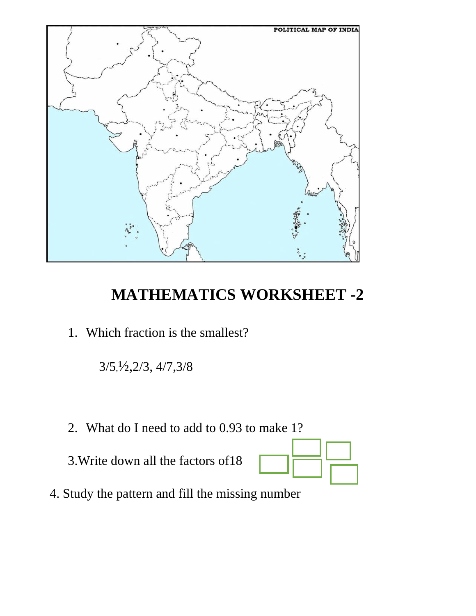

# **MATHEMATICS WORKSHEET -2**

1. Which fraction is the smallest?

3/5,½,2/3, 4/7,3/8

2. What do I need to add to 0.93 to make 1?

3.Write down all the factors of18



4. Study the pattern and fill the missing number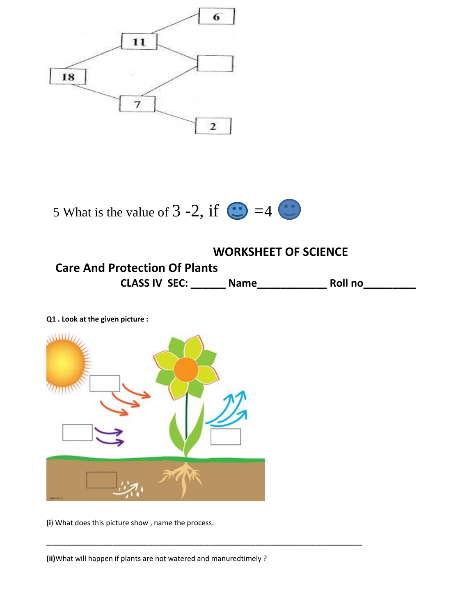



### **WORKSHEET OF SCIENCE Care And Protection Of Plants CLASS IV SEC: \_\_\_\_\_\_ Name\_\_\_\_\_\_\_\_\_\_\_\_ Roll no\_\_\_\_\_\_\_\_\_**

\_\_\_\_\_\_\_\_\_\_\_\_\_\_\_\_\_\_\_\_\_\_\_\_\_\_\_\_\_\_\_\_\_\_\_\_\_\_\_\_\_\_\_\_\_\_\_\_\_\_\_\_\_\_\_\_\_\_\_\_\_\_

**Q1 . Look at the given picture :**



**(i**) What does this picture show , name the process.

**(ii)**What will happen if plants are not watered and manuredtimely ?